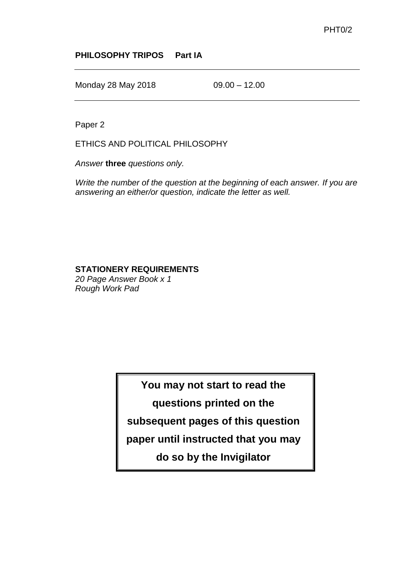## **PHILOSOPHY TRIPOS Part IA**

Monday 28 May 2018 09.00 - 12.00

Paper 2

ETHICS AND POLITICAL PHILOSOPHY

*Answer* **three** *questions only.*

*Write the number of the question at the beginning of each answer. If you are answering an either/or question, indicate the letter as well.*

## **STATIONERY REQUIREMENTS**

*20 Page Answer Book x 1 Rough Work Pad*

**You may not start to read the** 

**questions printed on the** 

**subsequent pages of this question** 

**paper until instructed that you may** 

**do so by the Invigilator**